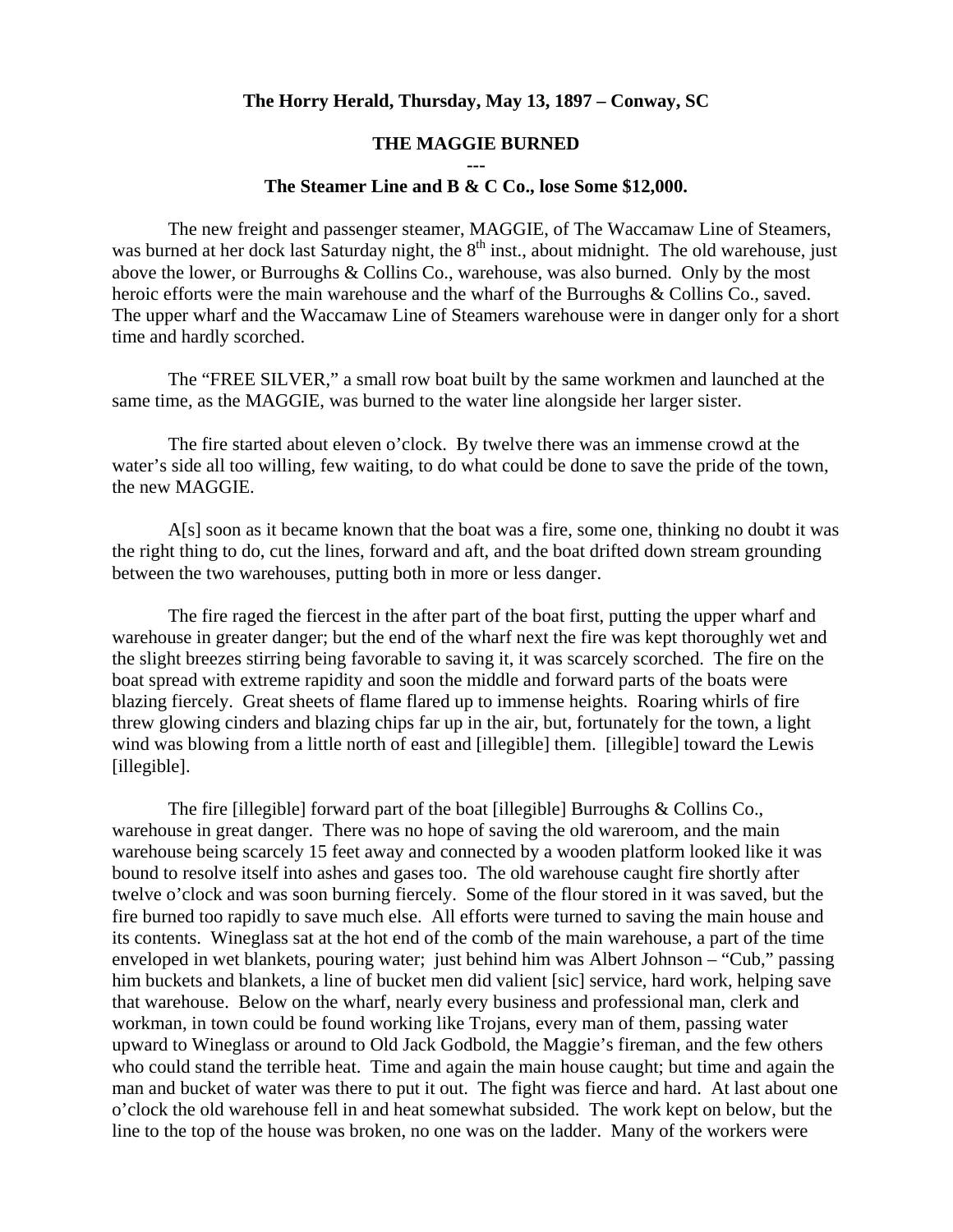## **The Horry Herald, Thursday, May 13, 1897 – Conway, SC**

## **THE MAGGIE BURNED**

## **--- The Steamer Line and B & C Co., lose Some \$12,000.**

 The new freight and passenger steamer, MAGGIE, of The Waccamaw Line of Steamers, was burned at her dock last Saturday night, the  $8<sup>th</sup>$  inst., about midnight. The old warehouse, just above the lower, or Burroughs & Collins Co., warehouse, was also burned. Only by the most heroic efforts were the main warehouse and the wharf of the Burroughs & Collins Co., saved. The upper wharf and the Waccamaw Line of Steamers warehouse were in danger only for a short time and hardly scorched.

The "FREE SILVER," a small row boat built by the same workmen and launched at the same time, as the MAGGIE, was burned to the water line alongside her larger sister.

The fire started about eleven o'clock. By twelve there was an immense crowd at the water's side all too willing, few waiting, to do what could be done to save the pride of the town, the new MAGGIE.

 A[s] soon as it became known that the boat was a fire, some one, thinking no doubt it was the right thing to do, cut the lines, forward and aft, and the boat drifted down stream grounding between the two warehouses, putting both in more or less danger.

 The fire raged the fiercest in the after part of the boat first, putting the upper wharf and warehouse in greater danger; but the end of the wharf next the fire was kept thoroughly wet and the slight breezes stirring being favorable to saving it, it was scarcely scorched. The fire on the boat spread with extreme rapidity and soon the middle and forward parts of the boats were blazing fiercely. Great sheets of flame flared up to immense heights. Roaring whirls of fire threw glowing cinders and blazing chips far up in the air, but, fortunately for the town, a light wind was blowing from a little north of east and [illegible] them. [illegible] toward the Lewis [illegible].

 The fire [illegible] forward part of the boat [illegible] Burroughs & Collins Co., warehouse in great danger. There was no hope of saving the old wareroom, and the main warehouse being scarcely 15 feet away and connected by a wooden platform looked like it was bound to resolve itself into ashes and gases too. The old warehouse caught fire shortly after twelve o'clock and was soon burning fiercely. Some of the flour stored in it was saved, but the fire burned too rapidly to save much else. All efforts were turned to saving the main house and its contents. Wineglass sat at the hot end of the comb of the main warehouse, a part of the time enveloped in wet blankets, pouring water; just behind him was Albert Johnson – "Cub," passing him buckets and blankets, a line of bucket men did valient [sic] service, hard work, helping save that warehouse. Below on the wharf, nearly every business and professional man, clerk and workman, in town could be found working like Trojans, every man of them, passing water upward to Wineglass or around to Old Jack Godbold, the Maggie's fireman, and the few others who could stand the terrible heat. Time and again the main house caught; but time and again the man and bucket of water was there to put it out. The fight was fierce and hard. At last about one o'clock the old warehouse fell in and heat somewhat subsided. The work kept on below, but the line to the top of the house was broken, no one was on the ladder. Many of the workers were